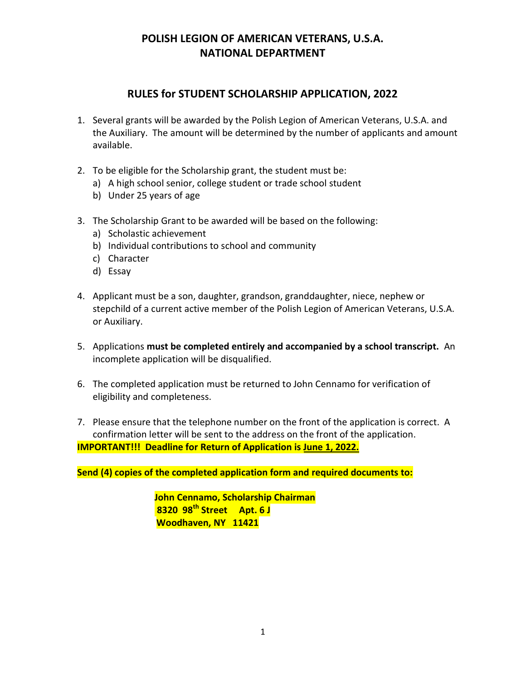## RULES for STUDENT SCHOLARSHIP APPLICATION, 2022

- 1. Several grants will be awarded by the Polish Legion of American Veterans, U.S.A. and the Auxiliary. The amount will be determined by the number of applicants and amount available.
- 2. To be eligible for the Scholarship grant, the student must be:
	- a) A high school senior, college student or trade school student
	- b) Under 25 years of age
- 3. The Scholarship Grant to be awarded will be based on the following:
	- a) Scholastic achievement
	- b) Individual contributions to school and community
	- c) Character
	- d) Essay
- 4. Applicant must be a son, daughter, grandson, granddaughter, niece, nephew or stepchild of a current active member of the Polish Legion of American Veterans, U.S.A. or Auxiliary.
- 5. Applications must be completed entirely and accompanied by a school transcript. An incomplete application will be disqualified.
- 6. The completed application must be returned to John Cennamo for verification of eligibility and completeness.
- 7. Please ensure that the telephone number on the front of the application is correct. A confirmation letter will be sent to the address on the front of the application. IMPORTANT!!! Deadline for Return of Application is June 1, 2022.

Send (4) copies of the completed application form and required documents to:

 John Cennamo, Scholarship Chairman 8320 98<sup>th</sup> Street Apt. 6 J Woodhaven, NY 11421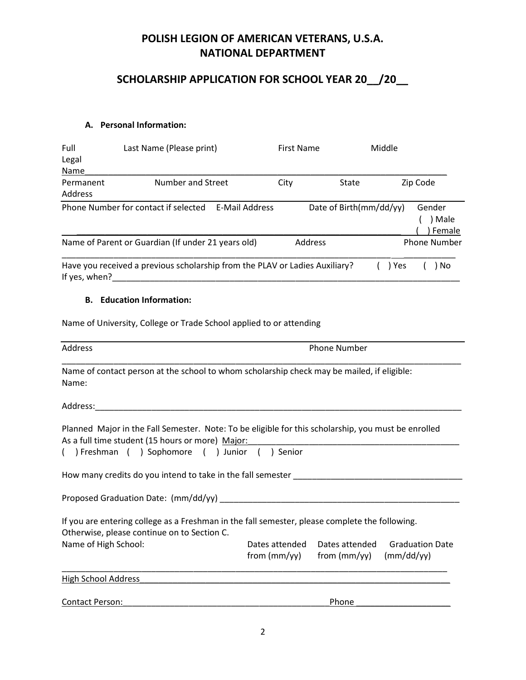# SCHOLARSHIP APPLICATION FOR SCHOOL YEAR 20\_\_/20\_\_

#### A. Personal Information:

| Full                 | Last Name (Please print)                                                    |                       | <b>First Name</b> |                         | Middle |                            |
|----------------------|-----------------------------------------------------------------------------|-----------------------|-------------------|-------------------------|--------|----------------------------|
| Legal                |                                                                             |                       |                   |                         |        |                            |
| Name                 |                                                                             |                       |                   |                         |        |                            |
| Permanent<br>Address | Number and Street                                                           |                       | City              | State                   |        | Zip Code                   |
|                      | Phone Number for contact if selected                                        | <b>E-Mail Address</b> |                   | Date of Birth(mm/dd/yy) |        | Gender<br>) Male<br>Female |
|                      | Name of Parent or Guardian (If under 21 years old)                          |                       | Address           |                         |        | <b>Phone Number</b>        |
| If yes, when?        | Have you received a previous scholarship from the PLAV or Ladies Auxiliary? |                       |                   |                         | ) Yes  | No                         |

### B. Education Information:

Name of University, College or Trade School applied to or attending

| Address                                                                                                                                                                                                 |                | <b>Phone Number</b>                                                               |                        |
|---------------------------------------------------------------------------------------------------------------------------------------------------------------------------------------------------------|----------------|-----------------------------------------------------------------------------------|------------------------|
| Name of contact person at the school to whom scholarship check may be mailed, if eligible:<br>Name:                                                                                                     |                |                                                                                   |                        |
|                                                                                                                                                                                                         |                |                                                                                   |                        |
| Planned Major in the Fall Semester. Note: To be eligible for this scholarship, you must be enrolled<br>As a full time student (15 hours or more) Major:<br>() Freshman () Sophomore () Junior () Senior |                |                                                                                   |                        |
| How many credits do you intend to take in the fall semester <b>Example 2018</b>                                                                                                                         |                |                                                                                   |                        |
|                                                                                                                                                                                                         |                |                                                                                   |                        |
| If you are entering college as a Freshman in the fall semester, please complete the following.<br>Otherwise, please continue on to Section C.                                                           |                |                                                                                   |                        |
| Name of High School:                                                                                                                                                                                    | Dates attended | Dates attended<br>from $\text{(mm/yy)}$ from $\text{(mm/yy)}$ $\text{(mm/dd/yy)}$ | <b>Graduation Date</b> |
| High School Address                                                                                                                                                                                     |                |                                                                                   |                        |
| <b>Contact Person:</b>                                                                                                                                                                                  |                | Phone                                                                             |                        |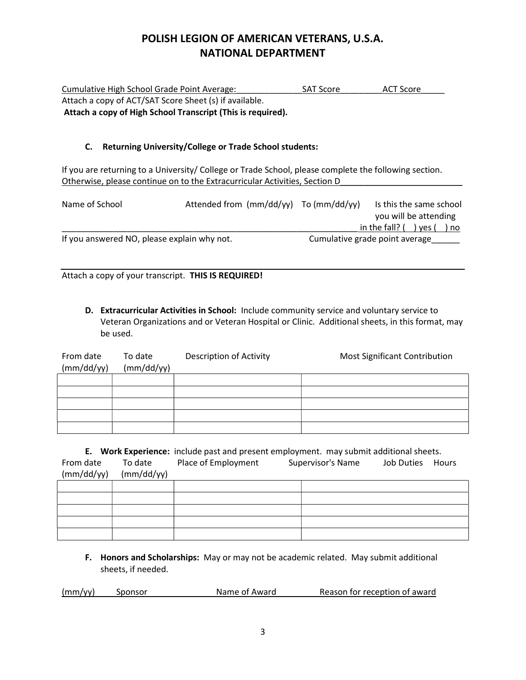| Cumulative High School Grade Point Average:                 | <b>SAT Score</b> | ACT Score |
|-------------------------------------------------------------|------------------|-----------|
| Attach a copy of ACT/SAT Score Sheet (s) if available.      |                  |           |
| Attach a copy of High School Transcript (This is required). |                  |           |

### C. Returning University/College or Trade School students:

If you are returning to a University/ College or Trade School, please complete the following section. Otherwise, please continue on to the Extracurricular Activities, Section D

| Name of School                              |  | Attended from $\frac{mm}{dd/yy}$ To $\frac{mm}{dd/yy}$ |                | Is this the same school |
|---------------------------------------------|--|--------------------------------------------------------|----------------|-------------------------|
|                                             |  |                                                        |                | you will be attending   |
|                                             |  |                                                        | in the fall? ( | ) ves (<br>) no         |
| If you answered NO, please explain why not. |  | Cumulative grade point average                         |                |                         |

Attach a copy of your transcript. THIS IS REQUIRED!

D. Extracurricular Activities in School: Include community service and voluntary service to Veteran Organizations and or Veteran Hospital or Clinic. Additional sheets, in this format, may be used.

| From date<br>(mm/dd/yy) | To date<br>(mm/dd/yy) | Description of Activity | Most Significant Contribution |
|-------------------------|-----------------------|-------------------------|-------------------------------|
|                         |                       |                         |                               |
|                         |                       |                         |                               |
|                         |                       |                         |                               |
|                         |                       |                         |                               |
|                         |                       |                         |                               |

|            | E. Work Experience: include past and present employment. may submit additional sheets. |                     |  |                   |                   |              |
|------------|----------------------------------------------------------------------------------------|---------------------|--|-------------------|-------------------|--------------|
| From date  | To date                                                                                | Place of Employment |  | Supervisor's Name | <b>Job Duties</b> | <b>Hours</b> |
| (mm/dd/yy) | (mm/dd/yy)                                                                             |                     |  |                   |                   |              |
|            |                                                                                        |                     |  |                   |                   |              |
|            |                                                                                        |                     |  |                   |                   |              |
|            |                                                                                        |                     |  |                   |                   |              |
|            |                                                                                        |                     |  |                   |                   |              |
|            |                                                                                        |                     |  |                   |                   |              |

F. Honors and Scholarships: May or may not be academic related. May submit additional sheets, if needed.

| (mm/yy) | Sponsor | Name of Award | Reason for reception of award |
|---------|---------|---------------|-------------------------------|
|         |         |               |                               |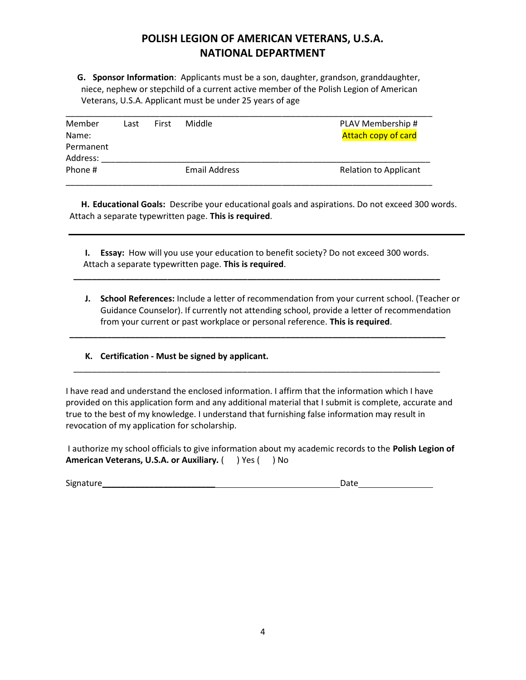G. Sponsor Information: Applicants must be a son, daughter, grandson, granddaughter, niece, nephew or stepchild of a current active member of the Polish Legion of American Veterans, U.S.A. Applicant must be under 25 years of age

| Member<br>Name:<br>Permanent<br>Address: | Last | First | Middle        | PLAV Membership #<br><b>Attach copy of card</b> |
|------------------------------------------|------|-------|---------------|-------------------------------------------------|
| Phone #                                  |      |       | Email Address | <b>Relation to Applicant</b>                    |

H. Educational Goals: Describe your educational goals and aspirations. Do not exceed 300 words. Attach a separate typewritten page. This is required.

I. Essay: How will you use your education to benefit society? Do not exceed 300 words. Attach a separate typewritten page. This is required.

\_\_\_\_\_\_\_\_\_\_\_\_\_\_\_\_\_\_\_\_\_\_\_\_\_\_\_\_\_\_\_\_\_\_\_\_\_\_\_\_\_\_\_\_\_\_\_\_\_\_\_\_\_\_\_\_\_\_\_\_\_\_\_\_\_\_\_\_\_\_\_\_\_\_\_\_\_\_

\_\_\_\_\_\_\_\_\_\_\_\_\_\_\_\_\_\_\_\_\_\_\_\_\_\_\_\_\_\_\_\_\_\_\_\_\_\_\_\_\_\_\_\_\_\_\_\_\_\_\_\_\_\_\_\_\_\_\_\_\_\_\_\_\_\_\_\_\_\_\_\_\_\_\_\_\_\_\_\_

\_\_\_\_\_\_\_\_\_\_\_\_\_\_\_\_\_\_\_\_\_\_\_\_\_\_\_\_\_\_\_\_\_\_\_\_\_\_\_\_\_\_\_\_\_\_\_\_\_\_\_\_\_\_\_\_\_\_\_\_\_\_\_\_\_\_\_\_\_\_\_\_\_\_\_\_\_\_

J. School References: Include a letter of recommendation from your current school. (Teacher or Guidance Counselor). If currently not attending school, provide a letter of recommendation from your current or past workplace or personal reference. This is required.

#### K. Certification - Must be signed by applicant.

I have read and understand the enclosed information. I affirm that the information which I have provided on this application form and any additional material that I submit is complete, accurate and true to the best of my knowledge. I understand that furnishing false information may result in revocation of my application for scholarship.

I authorize my school officials to give information about my academic records to the Polish Legion of American Veterans, U.S.A. or Auxiliary. ( ) Yes ( ) No

Signature\_\_\_\_\_\_\_\_\_\_\_\_\_\_\_\_\_\_\_\_\_\_\_\_ Date